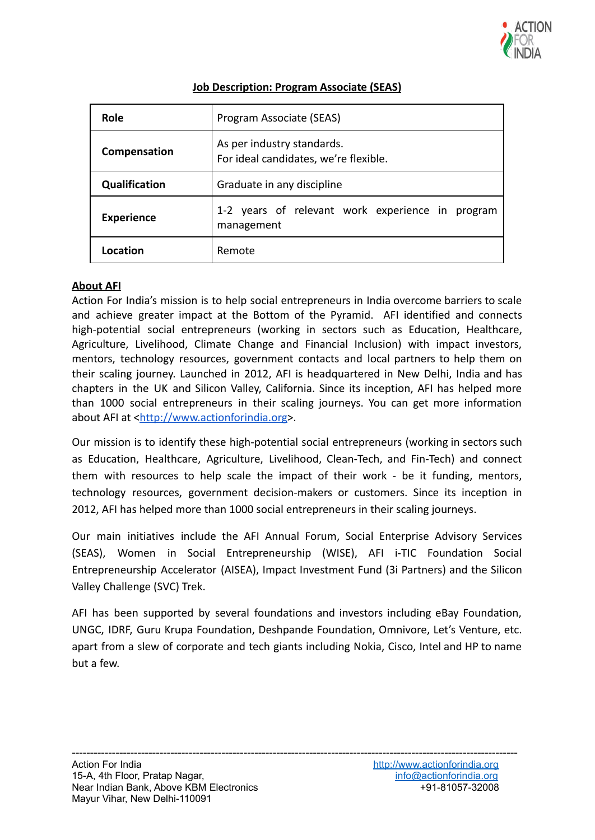

| Role                 | Program Associate (SEAS)                                            |
|----------------------|---------------------------------------------------------------------|
| Compensation         | As per industry standards.<br>For ideal candidates, we're flexible. |
| <b>Qualification</b> | Graduate in any discipline                                          |
| <b>Experience</b>    | 1-2 years of relevant work experience in program<br>management      |
| Location             | Remote                                                              |

## **Job Description: Program Associate (SEAS)**

## **About AFI**

Action For India's mission is to help social entrepreneurs in India overcome barriers to scale and achieve greater impact at the Bottom of the Pyramid. AFI identified and connects high-potential social entrepreneurs (working in sectors such as Education, Healthcare, Agriculture, Livelihood, Climate Change and Financial Inclusion) with impact investors, mentors, technology resources, government contacts and local partners to help them on their scaling journey. Launched in 2012, AFI is headquartered in New Delhi, India and has chapters in the UK and Silicon Valley, California. Since its inception, AFI has helped more than 1000 social entrepreneurs in their scaling journeys. You can get more information about AFI at <[http://www.actionforindia.org>](http://www.actionforindia.org).

Our mission is to identify these high-potential social entrepreneurs (working in sectors such as Education, Healthcare, Agriculture, Livelihood, Clean-Tech, and Fin-Tech) and connect them with resources to help scale the impact of their work - be it funding, mentors, technology resources, government decision-makers or customers. Since its inception in 2012, AFI has helped more than 1000 social entrepreneurs in their scaling journeys.

Our main initiatives include the AFI Annual Forum, Social Enterprise Advisory Services (SEAS), Women in Social Entrepreneurship (WISE), AFI i-TIC Foundation Social Entrepreneurship Accelerator (AISEA), Impact Investment Fund (3i Partners) and the Silicon Valley Challenge (SVC) Trek.

AFI has been supported by several foundations and investors including eBay Foundation, UNGC, IDRF, Guru Krupa Foundation, Deshpande Foundation, Omnivore, Let's Venture, etc. apart from a slew of corporate and tech giants including Nokia, Cisco, Intel and HP to name but a few.